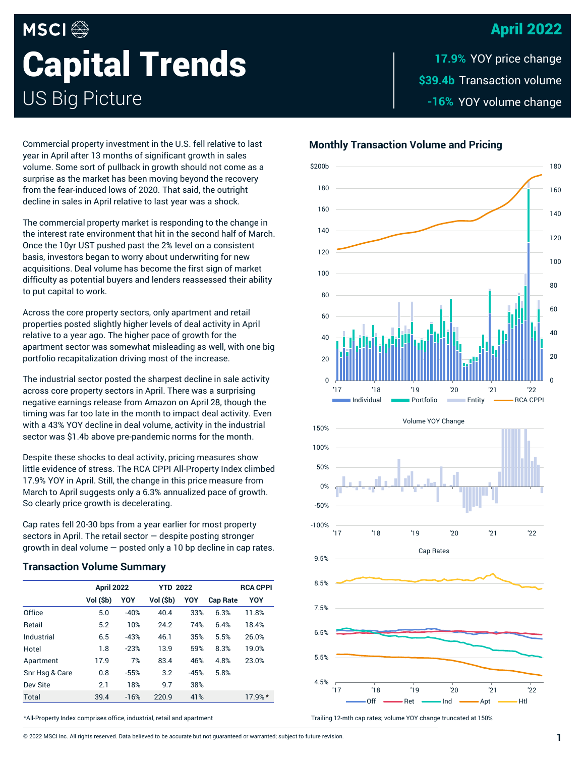### April 2022

# **MSCI Capital Trends** US Big Picture

\$39.4b Transaction volume -16% YOY volume change **17.9%**

Commercial property investment in the U.S. fell relative to last year in April after 13 months of significant growth in sales volume. Some sort of pullback in growth should not come as a surprise as the market has been moving beyond the recovery from the fear-induced lows of 2020. That said, the outright decline in sales in April relative to last year was a shock.

The commercial property market is responding to the change in the interest rate environment that hit in the second half of March. Once the 10yr UST pushed past the 2% level on a consistent basis, investors began to worry about underwriting for new acquisitions. Deal volume has become the first sign of market difficulty as potential buyers and lenders reassessed their ability to put capital to work.

Across the core property sectors, only apartment and retail properties posted slightly higher levels of deal activity in April relative to a year ago. The higher pace of growth for the apartment sector was somewhat misleading as well, with one big portfolio recapitalization driving most of the increase.

The industrial sector posted the sharpest decline in sale activity across core property sectors in April. There was a surprising negative earnings release from Amazon on April 28, though the timing was far too late in the month to impact deal activity. Even with a 43% YOY decline in deal volume, activity in the industrial sector was \$1.4b above pre-pandemic norms for the month.

Despite these shocks to deal activity, pricing measures show little evidence of stress. The RCA CPPI All-Property Index climbed 17.9% YOY in April. Still, the change in this price measure from March to April suggests only a 6.3% annualized pace of growth. So clearly price growth is decelerating.

Cap rates fell 20-30 bps from a year earlier for most property sectors in April. The retail sector — despite posting stronger growth in deal volume — posted only a 10 bp decline in cap rates.

#### **Transaction Volume Summary**

|                | <b>April 2022</b> |        | <b>YTD 2022</b> |        |                 | <b>RCA CPPI</b> |
|----------------|-------------------|--------|-----------------|--------|-----------------|-----------------|
|                | Vol (\$b)         | YOY    | Vol (\$b)       | YOY    | <b>Cap Rate</b> | YOY             |
| Office         | 5.0               | $-40%$ | 40.4            | 33%    | 6.3%            | 11.8%           |
| Retail         | 5.2               | 10%    | 24.2            | 74%    | 6.4%            | 18.4%           |
| Industrial     | 6.5               | $-43%$ | 46.1            | 35%    | 5.5%            | 26.0%           |
| Hotel          | 1.8               | $-23%$ | 13.9            | 59%    | 8.3%            | 19.0%           |
| Apartment      | 17.9              | 7%     | 83.4            | 46%    | 4.8%            | 23.0%           |
| Snr Hsq & Care | 0.8               | $-55%$ | 3.2             | $-45%$ | 5.8%            |                 |
| Dev Site       | 2.1               | 18%    | 9.7             | 38%    |                 |                 |
| <b>Total</b>   | 39.4              | $-16%$ | 220.9           | 41%    |                 | 17.9%*          |

40

 $60$ 

80

100

120

140

160

180

\$200b

 $\Omega$ 20 '17 '18 '19 '20 '21 '22 **Individual <b>Individual** Portfolio **Entity Acception** RCA CPPI

**Monthly Transaction Volume and Pricing**







Trailing 12-mth cap rates; volume YOY change truncated at 150%

\*All-Property Index comprises office, industrial, retail and apartment

© 2022 MSCI Inc. All rights reserved. Data believed to be accurate but not guaranteed or warranted; subject to future revision. **1**

 $\Omega$ 

 $20$ 

40

60

80

100

120

140

160

180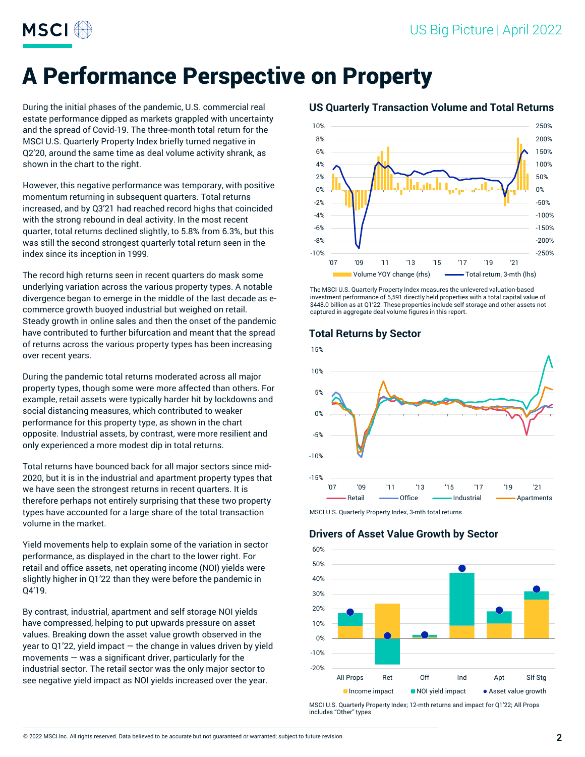

## A Performance Perspective on Property

During the initial phases of the pandemic, U.S. commercial real estate performance dipped as markets grappled with uncertainty and the spread of Covid-19. The three-month total return for the MSCI U.S. Quarterly Property Index briefly turned negative in Q2'20, around the same time as deal volume activity shrank, as shown in the chart to the right.

However, this negative performance was temporary, with positive momentum returning in subsequent quarters. Total returns increased, and by Q3'21 had reached record highs that coincided with the strong rebound in deal activity. In the most recent quarter, total returns declined slightly, to 5.8% from 6.3%, but this was still the second strongest quarterly total return seen in the index since its inception in 1999.

The record high returns seen in recent quarters do mask some underlying variation across the various property types. A notable divergence began to emerge in the middle of the last decade as ecommerce growth buoyed industrial but weighed on retail. Steady growth in online sales and then the onset of the pandemic have contributed to further bifurcation and meant that the spread of returns across the various property types has been increasing over recent years.

During the pandemic total returns moderated across all major property types, though some were more affected than others. For example, retail assets were typically harder hit by lockdowns and social distancing measures, which contributed to weaker performance for this property type, as shown in the chart opposite. Industrial assets, by contrast, were more resilient and only experienced a more modest dip in total returns.

Total returns have bounced back for all major sectors since mid-2020, but it is in the industrial and apartment property types that we have seen the strongest returns in recent quarters. It is therefore perhaps not entirely surprising that these two property types have accounted for a large share of the total transaction volume in the market.

Yield movements help to explain some of the variation in sector performance, as displayed in the chart to the lower right. For retail and office assets, net operating income (NOI) yields were slightly higher in Q1'22 than they were before the pandemic in Q4'19.

By contrast, industrial, apartment and self storage NOI yields have compressed, helping to put upwards pressure on asset values. Breaking down the asset value growth observed in the year to Q1'22, yield impact — the change in values driven by yield movements  $-$  was a significant driver, particularly for the industrial sector. The retail sector was the only major sector to see negative yield impact as NOI yields increased over the year.



The MSCI U.S. Quarterly Property Index measures the unlevered valuation-based investment performance of 5,591 directly held properties with a total capital value of \$448.0 billion as at Q1'22. These properties include self storage and other assets not captured in aggregate deal volume figures in this report.

#### **Total Returns by Sector**



MSCI U.S. Quarterly Property Index, 3-mth total returns

#### **Drivers of Asset Value Growth by Sector**



MSCI U.S. Quarterly Property Index; 12-mth returns and impact for Q1'22; All Props includes "Other" types